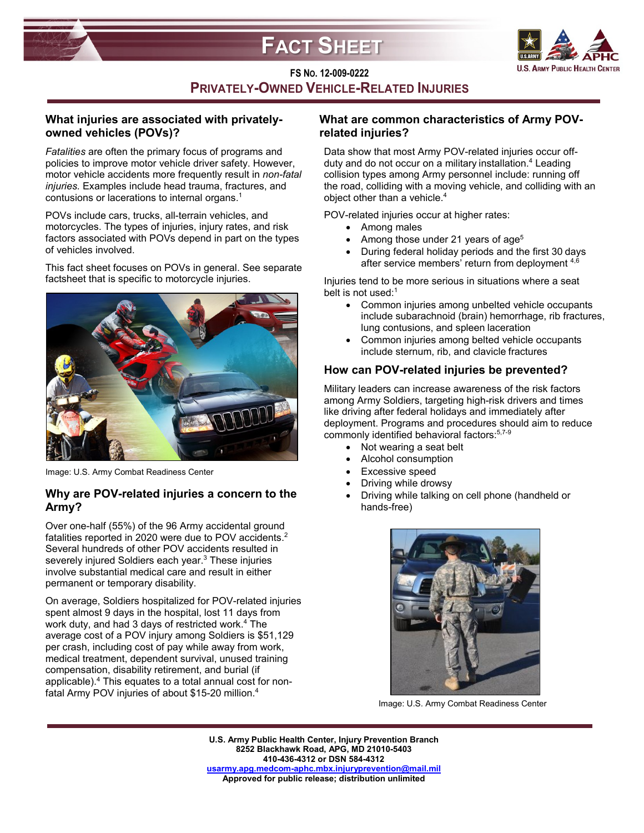



**FS NO. 12-009-0222 PRIVATELY-OWNED VEHICLE-RELATED INJURIES**

# **What injuries are associated with privatelyowned vehicles (POVs)?**

*Fatalities* are often the primary focus of programs and policies to improve motor vehicle driver safety. However, motor vehicle accidents more frequently result in *non-fatal injuries.* Examples include head trauma, fractures, and contusions or lacerations to internal organs.1

POVs include cars, trucks, all-terrain vehicles, and motorcycles. The types of injuries, injury rates, and risk factors associated with POVs depend in part on the types of vehicles involved.

This fact sheet focuses on POVs in general. See separate factsheet that is specific to motorcycle injuries.



Image: U.S. Army Combat Readiness Center

# **Why are POV-related injuries a concern to the Army?**

Over one-half (55%) of the 96 Army accidental ground fatalities reported in 2020 were due to POV accidents.<sup>2</sup> Several hundreds of other POV accidents resulted in severely injured Soldiers each year. <sup>3</sup> These injuries involve substantial medical care and result in either permanent or temporary disability.

On average, Soldiers hospitalized for POV-related injuries spent almost 9 days in the hospital, lost 11 days from work duty, and had 3 days of restricted work.<sup>4</sup> The average cost of a POV injury among Soldiers is \$51,129 per crash, including cost of pay while away from work, medical treatment, dependent survival, unused training compensation, disability retirement, and burial (if applicable).4 This equates to a total annual cost for nonfatal Army POV injuries of about \$15-20 million.4

# **What are common characteristics of Army POVrelated injuries?**

Data show that most Army POV-related injuries occur offduty and do not occur on a military installation.<sup>4</sup> Leading collision types among Army personnel include: running off the road, colliding with a moving vehicle, and colliding with an object other than a vehicle. 4

POV-related injuries occur at higher rates:

- Among males
- Among those under 21 years of age<sup>5</sup>
- During federal holiday periods and the first 30 days after service members' return from deployment 4,6

Injuries tend to be more serious in situations where a seat belt is not used: $1$ 

- Common injuries among unbelted vehicle occupants include subarachnoid (brain) hemorrhage, rib fractures, lung contusions, and spleen laceration
- Common injuries among belted vehicle occupants include sternum, rib, and clavicle fractures

# **How can POV-related injuries be prevented?**

Military leaders can increase awareness of the risk factors among Army Soldiers, targeting high-risk drivers and times like driving after federal holidays and immediately after deployment. Programs and procedures should aim to reduce commonly identified behavioral factors: 5,7-9

- Not wearing a seat belt
- Alcohol consumption
- Excessive speed
- Driving while drowsy
- Driving while talking on cell phone (handheld or hands-free)



Image: U.S. Army Combat Readiness Center

**U.S. Army Public Health Center, Injury Prevention Branch 8252 Blackhawk Road, APG, MD 21010-5403 410-436-4312 or DSN 584-4312 [usarmy.apg.medcom-aphc.mbx.injuryprevention@mail.mil](mailto:usarmy.apg.medcom-aphc.mbx.injuryprevention@mail.mil) Approved for public release; distribution unlimited**